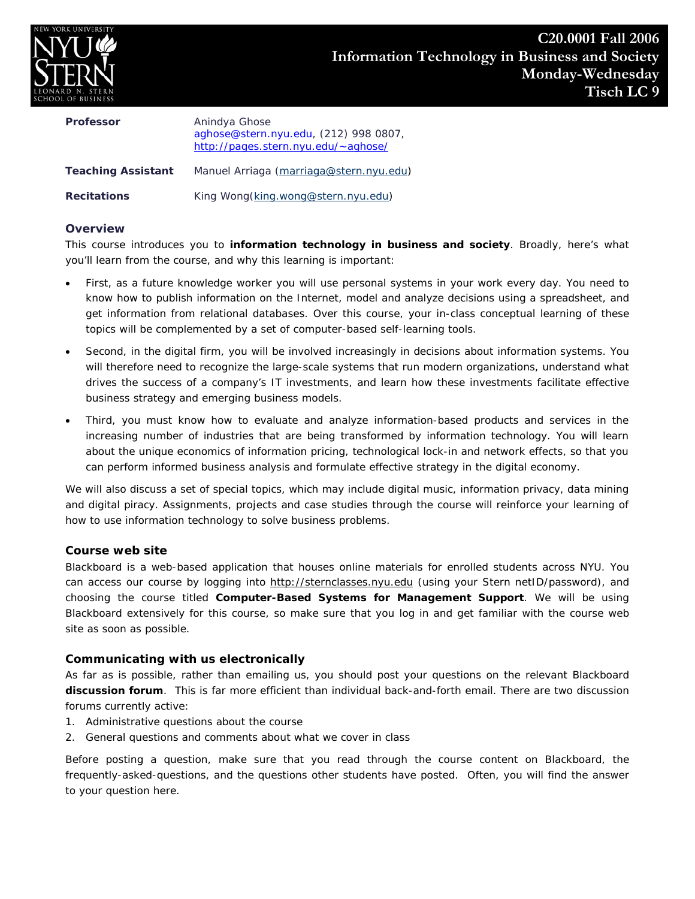

| <b>Professor</b>          | Anindya Ghose<br>aghose@stern.nyu.edu, (212) 998 0807,<br>http://pages.stern.nyu.edu/~aghose/ |
|---------------------------|-----------------------------------------------------------------------------------------------|
| <b>Teaching Assistant</b> | Manuel Arriaga (marriaga@stern.nyu.edu)                                                       |
| <b>Recitations</b>        | King Wong(king.wong@stern.nyu.edu)                                                            |

## **Overview**

This course introduces you to **information technology in business and society**. Broadly, here's what you'll learn from the course, and why this learning is important:

- First, as a future knowledge worker you will use personal systems in your work every day. You need to know how to publish information on the Internet, model and analyze decisions using a spreadsheet, and get information from relational databases. Over this course, your in-class conceptual learning of these topics will be complemented by a set of computer-based self-learning tools.
- Second, in the digital firm, you will be involved increasingly in decisions about information systems. You will therefore need to recognize the large-scale systems that run modern organizations, understand what drives the success of a company's IT investments, and learn how these investments facilitate effective business strategy and emerging business models.
- Third, you must know how to evaluate and analyze information-based products and services in the increasing number of industries that are being transformed by information technology. You will learn about the unique economics of information pricing, technological lock-in and network effects, so that you can perform informed business analysis and formulate effective strategy in the digital economy.

We will also discuss a set of special topics, which may include digital music, information privacy, data mining and digital piracy. Assignments, projects and case studies through the course will reinforce your learning of how to use information technology to solve business problems.

# **Course web site**

*Blackboard* is a web-based application that houses online materials for enrolled students across NYU. You can access our course by logging into *http://sternclasses.nyu.edu* (using your Stern netID/password), and choosing the course titled **Computer-Based Systems for Management Support**. We will be using Blackboard extensively for this course, so make sure that you log in and get familiar with the course web site as soon as possible.

# **Communicating with us electronically**

As far as is possible, rather than emailing us, you should post your questions on the relevant Blackboard **discussion forum**. This is far more efficient than individual back-and-forth email. There are two discussion forums currently active:

- 1. Administrative questions about the course
- 2. General questions and comments about what we cover in class

Before posting a question, make sure that you read through the course content on Blackboard, the frequently-asked-questions, and the questions other students have posted. Often, you will find the answer to your question here.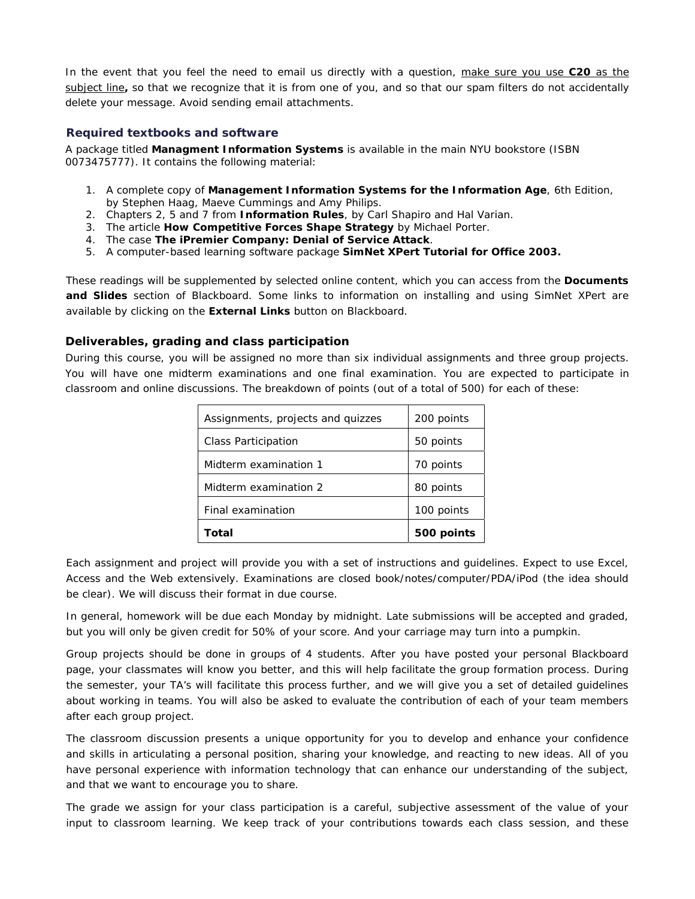In the event that you feel the need to email us directly with a question, *make sure you use* **C20** *as the subject line***,** so that we recognize that it is from one of you, and so that our spam filters do not accidentally delete your message. Avoid sending email attachments.

#### **Required textbooks and software**

A package titled **Managment Information Systems** is available in the main NYU bookstore (ISBN 0073475777). It contains the following material:

- 1. A complete copy of **Management Information Systems for the Information Age**, 6th Edition, by Stephen Haag, Maeve Cummings and Amy Philips.
- 2. Chapters 2, 5 and 7 from **Information Rules**, by Carl Shapiro and Hal Varian.
- 3. The article **How Competitive Forces Shape Strategy** by Michael Porter.
- 4. The case **The iPremier Company: Denial of Service Attack**.
- 5. A computer-based learning software package **SimNet XPert Tutorial for Office 2003.**

These readings will be supplemented by selected online content, which you can access from the **Documents and Slides** section of Blackboard. Some links to information on installing and using SimNet XPert are available by clicking on the **External Links** button on Blackboard.

## **Deliverables, grading and class participation**

During this course, you will be assigned no more than six individual assignments and three group projects. You will have one midterm examinations and one final examination. You are expected to participate in classroom and online discussions. The breakdown of points (out of a total of 500) for each of these:

| Assignments, projects and quizzes | 200 points |
|-----------------------------------|------------|
| <b>Class Participation</b>        | 50 points  |
| Midterm examination 1             | 70 points  |
| Midterm examination 2             | 80 points  |
| Final examination                 | 100 points |
| Total                             | 500 points |

Each assignment and project will provide you with a set of instructions and guidelines. Expect to use Excel, Access and the Web extensively. Examinations are closed book/notes/computer/PDA/iPod (the idea should be clear). We will discuss their format in due course.

In general, homework will be due each Monday by midnight. Late submissions will be accepted and graded, but you will only be given credit for 50% of your score. And your carriage may turn into a pumpkin.

Group projects should be done in groups of 4 students. After you have posted your personal Blackboard page, your classmates will know you better, and this will help facilitate the group formation process. During the semester, your TA's will facilitate this process further, and we will give you a set of detailed guidelines about working in teams. You will also be asked to evaluate the contribution of each of your team members after each group project.

The classroom discussion presents a unique opportunity for you to develop and enhance your confidence and skills in articulating a personal position, sharing your knowledge, and reacting to new ideas. All of you have personal experience with information technology that can enhance our understanding of the subject, and that we want to encourage you to share.

The grade we assign for your class participation is a careful, subjective assessment of the value of your input to classroom learning. We keep track of your contributions towards each class session, and these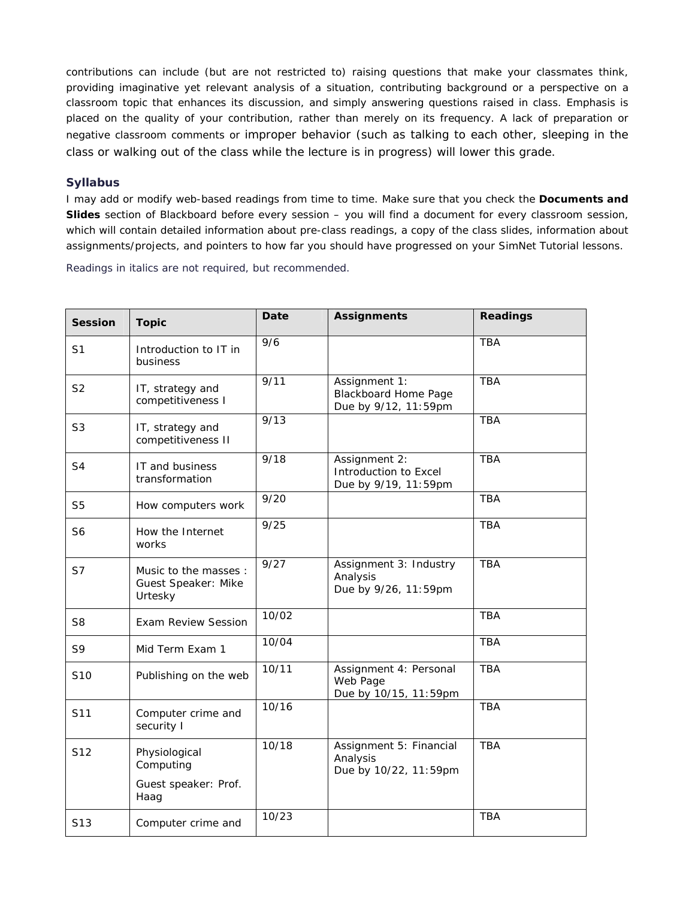contributions can include (but are not restricted to) raising questions that make your classmates think, providing imaginative yet relevant analysis of a situation, contributing background or a perspective on a classroom topic that enhances its discussion, and simply answering questions raised in class. Emphasis is placed on the quality of your contribution, rather than merely on its frequency. A lack of preparation or negative classroom comments or improper behavior (such as talking to each other, sleeping in the class or walking out of the class while the lecture is in progress) will lower this grade.

## **Syllabus**

I may add or modify web-based readings from time to time. Make sure that you check the **Documents and Slides** section of Blackboard before every session – you will find a document for every classroom session, which will contain detailed information about pre-class readings, a copy of the class slides, information about assignments/projects, and pointers to how far you should have progressed on your SimNet Tutorial lessons.

Readings in *italics* are not required, but recommended.

| <b>Session</b>  | <b>Topic</b>                                           | <b>Date</b> | <b>Assignments</b>                                                   | <b>Readings</b> |
|-----------------|--------------------------------------------------------|-------------|----------------------------------------------------------------------|-----------------|
| S <sub>1</sub>  | Introduction to IT in<br>business                      | 9/6         |                                                                      | <b>TBA</b>      |
| S <sub>2</sub>  | IT, strategy and<br>competitiveness I                  | 9/11        | Assignment 1:<br><b>Blackboard Home Page</b><br>Due by 9/12, 11:59pm | <b>TBA</b>      |
| S <sub>3</sub>  | IT, strategy and<br>competitiveness II                 | 9/13        |                                                                      | <b>TBA</b>      |
| S <sub>4</sub>  | IT and business<br>transformation                      | 9/18        | Assignment 2:<br>Introduction to Excel<br>Due by 9/19, 11:59pm       | <b>TBA</b>      |
| S <sub>5</sub>  | How computers work                                     | 9/20        |                                                                      | <b>TBA</b>      |
| S <sub>6</sub>  | How the Internet<br>works                              | 9/25        |                                                                      | <b>TBA</b>      |
| S7              | Music to the masses:<br>Guest Speaker: Mike<br>Urtesky | 9/27        | Assignment 3: Industry<br>Analysis<br>Due by 9/26, 11:59pm           | TBA             |
| S <sub>8</sub>  | <b>Exam Review Session</b>                             | 10/02       |                                                                      | <b>TBA</b>      |
| S9              | Mid Term Exam 1                                        | 10/04       |                                                                      | <b>TBA</b>      |
| S <sub>10</sub> | Publishing on the web                                  | 10/11       | Assignment 4: Personal<br>Web Page<br>Due by 10/15, 11:59pm          | <b>TBA</b>      |
| S11             | Computer crime and<br>security I                       | 10/16       |                                                                      | <b>TBA</b>      |
| S12             | Physiological<br>Computing                             | 10/18       | Assignment 5: Financial<br>Analysis<br>Due by 10/22, 11:59pm         | <b>TBA</b>      |
|                 | Guest speaker: Prof.<br>Haag                           |             |                                                                      |                 |
| S <sub>13</sub> | Computer crime and                                     | 10/23       |                                                                      | <b>TBA</b>      |